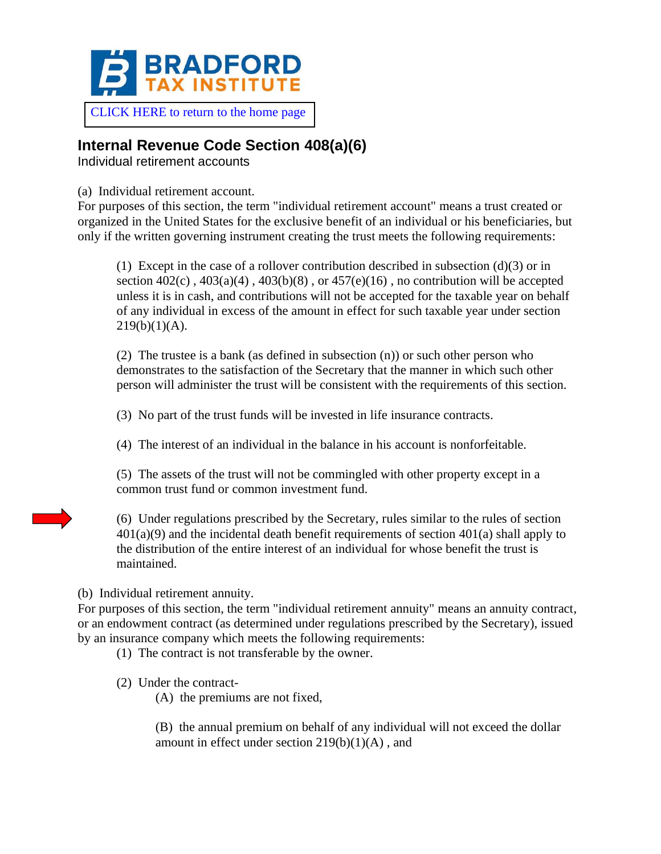

## [CLICK HERE to return to the home page](https://www.bradfordtaxinstitute.com)

## **Internal Revenue Code Section 408(a)(6)**

Individual retirement accounts

(a) Individual retirement account.

For purposes of this section, the term "individual retirement account" means a trust created or organized in the United States for the exclusive benefit of an individual or his beneficiaries, but only if the written governing instrument creating the trust meets the following requirements:

(1) Except in the case of a rollover contribution described in subsection  $(d)(3)$  or in section  $402(c)$ ,  $403(a)(4)$ ,  $403(b)(8)$ , or  $457(e)(16)$ , no contribution will be accepted unless it is in cash, and contributions will not be accepted for the taxable year on behalf of any individual in excess of the amount in effect for such taxable year under section  $219(b)(1)(A)$ .

(2) The trustee is a bank (as defined in subsection (n)) or such other person who demonstrates to the satisfaction of the Secretary that the manner in which such other person will administer the trust will be consistent with the requirements of this section.

(3) No part of the trust funds will be invested in life insurance contracts.

(4) The interest of an individual in the balance in his account is nonforfeitable.

(5) The assets of the trust will not be commingled with other property except in a common trust fund or common investment fund.

(6) Under regulations prescribed by the Secretary, rules similar to the rules of section  $401(a)(9)$  and the incidental death benefit requirements of section  $401(a)$  shall apply to the distribution of the entire interest of an individual for whose benefit the trust is maintained.

(b) Individual retirement annuity.

For purposes of this section, the term "individual retirement annuity" means an annuity contract, or an endowment contract (as determined under regulations prescribed by the Secretary), issued by an insurance company which meets the following requirements:

(1) The contract is not transferable by the owner.

(2) Under the contract-

(A) the premiums are not fixed,

(B) the annual premium on behalf of any individual will not exceed the dollar amount in effect under section  $219(b)(1)(A)$ , and